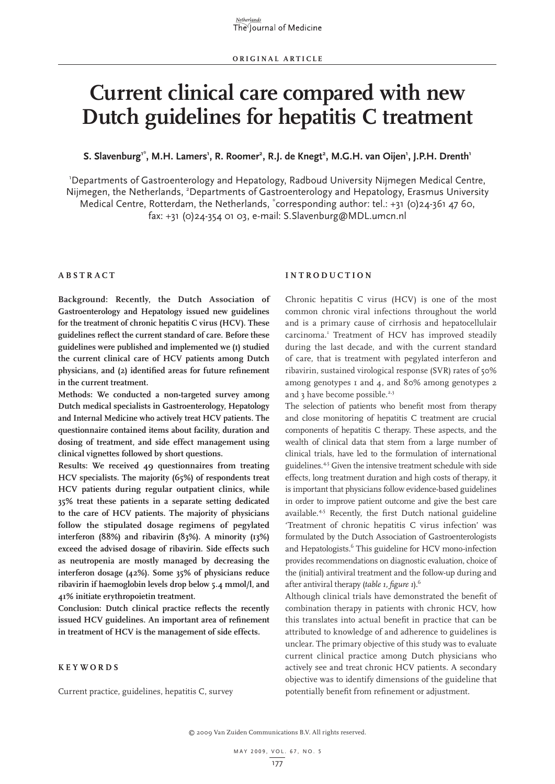# **Current clinical care compared with new Dutch guidelines for hepatitis C treatment**

 $S.$  Slavenburg<sup>1\*</sup>, M.H. Lamers<sup>1</sup>, R. Roomer<sup>2</sup>, R.J. de Knegt<sup>2</sup>, M.G.H. van Oijen<sup>1</sup>, J.P.H. Drenth<sup>1</sup>

1 Departments of Gastroenterology and Hepatology, Radboud University Nijmegen Medical Centre, Nijmegen, the Netherlands, <sup>2</sup>Departments of Gastroenterology and Hepatology, Erasmus University Medical Centre, Rotterdam, the Netherlands, \* corresponding author: tel.: +31 (0)24-361 47 60, fax: +31 (0)24-354 01 03, e-mail: S.Slavenburg@MDL.umcn.nl

## **A b s t r a c t**

**I n t r o d uc t i o n**

**Background: Recently, the Dutch Association of Gastroenterology and Hepatology issued new guidelines for the treatment of chronic hepatitis C virus (HCV). These guidelines reflect the current standard of care. Before these guidelines were published and implemented we (1) studied the current clinical care of HCV patients among Dutch physicians, and (2) identified areas for future refinement in the current treatment.** 

**Methods: We conducted a non-targeted survey among Dutch medical specialists in Gastroenterology, Hepatology and Internal Medicine who actively treat HCV patients. The questionnaire contained items about facility, duration and dosing of treatment, and side effect management using clinical vignettes followed by short questions.** 

**Results: We received 49 questionnaires from treating HCV specialists. The majority (65%) of respondents treat HCV patients during regular outpatient clinics, while 35% treat these patients in a separate setting dedicated to the care of HCV patients. The majority of physicians follow the stipulated dosage regimens of pegylated interferon (88%) and ribavirin (83%). A minority (13%) exceed the advised dosage of ribavirin. Side effects such as neutropenia are mostly managed by decreasing the interferon dosage (42%). Some 35% of physicians reduce ribavirin if haemoglobin levels drop below 5.4 mmol/l, and 41% initiate erythropoietin treatment.**

**Conclusion: Dutch clinical practice reflects the recently issued HCV guidelines. An important area of refinement in treatment of HCV is the management of side effects.**

# **K e y w o r d s**

Current practice, guidelines, hepatitis C, survey

Chronic hepatitis C virus (HCV) is one of the most common chronic viral infections throughout the world and is a primary cause of cirrhosis and hepatocellulair carcinoma.<sup>1</sup> Treatment of HCV has improved steadily during the last decade, and with the current standard of care, that is treatment with pegylated interferon and ribavirin, sustained virological response (SVR) rates of 50% among genotypes 1 and 4, and 80% among genotypes 2 and 3 have become possible. $2,3$ 

The selection of patients who benefit most from therapy and close monitoring of hepatitis C treatment are crucial components of hepatitis C therapy. These aspects, and the wealth of clinical data that stem from a large number of clinical trials, have led to the formulation of international guidelines.<sup>4,5</sup> Given the intensive treatment schedule with side effects, long treatment duration and high costs of therapy, it is important that physicians follow evidence-based guidelines in order to improve patient outcome and give the best care available.<sup>4,5</sup> Recently, the first Dutch national guideline 'Treatment of chronic hepatitis C virus infection' was formulated by the Dutch Association of Gastroenterologists and Hepatologists.<sup>6</sup> This guideline for HCV mono-infection provides recommendations on diagnostic evaluation, choice of the (initial) antiviral treatment and the follow-up during and after antiviral therapy (*table 1, figure 1*).6

Although clinical trials have demonstrated the benefit of combination therapy in patients with chronic HCV, how this translates into actual benefit in practice that can be attributed to knowledge of and adherence to guidelines is unclear. The primary objective of this study was to evaluate current clinical practice among Dutch physicians who actively see and treat chronic HCV patients. A secondary objective was to identify dimensions of the guideline that potentially benefit from refinement or adjustment.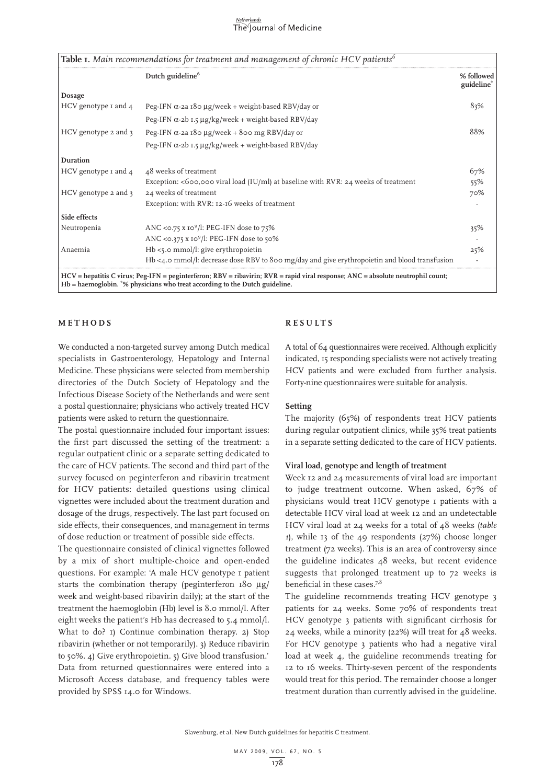#### <u>Netherlands</u> The Journal of Medicine

|                          | Dutch guideline <sup>6</sup>                                                                  | % followed<br>guideline* |
|--------------------------|-----------------------------------------------------------------------------------------------|--------------------------|
| Dosage                   |                                                                                               |                          |
| HCV genotype $I$ and $4$ | Peg-IFN $\alpha$ -2a 180 µg/week + weight-based RBV/day or                                    | 83%                      |
|                          | Peg-IFN $\alpha$ -2b 1.5 µg/kg/week + weight-based RBV/day                                    |                          |
| HCV genotype 2 and 3     | Peg-IFN $\alpha$ -2a 180 µg/week + 800 mg RBV/day or                                          | 88%                      |
|                          | Peg-IFN $\alpha$ -2b 1.5 µg/kg/week + weight-based RBV/day                                    |                          |
| Duration                 |                                                                                               |                          |
| HCV genotype I and 4     | 48 weeks of treatment                                                                         | 67%                      |
|                          | Exception: <600,000 viral load (IU/ml) at baseline with RVR: $24$ weeks of treatment          | 55%                      |
| HCV genotype 2 and 3     | 24 weeks of treatment                                                                         | 70%                      |
|                          | Exception: with RVR: 12-16 weeks of treatment                                                 |                          |
| Side effects             |                                                                                               |                          |
| Neutropenia              | ANC < $\circ$ .75 x 10 <sup>9</sup> /l: PEG-IFN dose to 75%                                   | 35%                      |
|                          | ANC < $0.375$ x $10^9$ /l: PEG-IFN dose to 50%                                                |                          |
| Anaemia                  | $Hb \leq 5$ .0 mmol/l: give erythropoietin                                                    | 25%                      |
|                          | Hb <4.0 mmol/l: decrease dose RBV to 800 mg/day and give erythropoietin and blood transfusion |                          |

# **METHODS**

We conducted a non-targeted survey among Dutch medical specialists in Gastroenterology, Hepatology and Internal Medicine. These physicians were selected from membership directories of the Dutch Society of Hepatology and the Infectious Disease Society of the Netherlands and were sent a postal questionnaire; physicians who actively treated HCV patients were asked to return the questionnaire.

The postal questionnaire included four important issues: the first part discussed the setting of the treatment: a regular outpatient clinic or a separate setting dedicated to the care of HCV patients. The second and third part of the survey focused on peginterferon and ribavirin treatment for HCV patients: detailed questions using clinical vignettes were included about the treatment duration and dosage of the drugs, respectively. The last part focused on side effects, their consequences, and management in terms of dose reduction or treatment of possible side effects.

The questionnaire consisted of clinical vignettes followed by a mix of short multiple-choice and open-ended questions. For example: 'A male HCV genotype 1 patient starts the combination therapy (peginterferon 180 µg/ week and weight-based ribavirin daily); at the start of the treatment the haemoglobin (Hb) level is 8.0 mmol/l. After eight weeks the patient's Hb has decreased to 5.4 mmol/l. What to do? 1) Continue combination therapy. 2) Stop ribavirin (whether or not temporarily). 3) Reduce ribavirin to 50%. 4) Give erythropoietin. 5) Give blood transfusion.' Data from returned questionnaires were entered into a Microsoft Access database, and frequency tables were provided by SPSS 14.0 for Windows.

## **R e s u l t s**

A total of 64 questionnaires were received. Although explicitly indicated, 15 responding specialists were not actively treating HCV patients and were excluded from further analysis. Forty-nine questionnaires were suitable for analysis.

#### **Setting**

The majority (65%) of respondents treat HCV patients during regular outpatient clinics, while 35% treat patients in a separate setting dedicated to the care of HCV patients.

### **Viral load, genotype and length of treatment**

Week 12 and 24 measurements of viral load are important to judge treatment outcome. When asked, 67% of physicians would treat HCV genotype 1 patients with a detectable HCV viral load at week 12 and an undetectable HCV viral load at 24 weeks for a total of 48 weeks (*table 1*), while 13 of the 49 respondents (27%) choose longer treatment (72 weeks). This is an area of controversy since the guideline indicates 48 weeks, but recent evidence suggests that prolonged treatment up to 72 weeks is beneficial in these cases.<sup>7,8</sup>

The guideline recommends treating HCV genotype 3 patients for 24 weeks. Some 70% of respondents treat HCV genotype 3 patients with significant cirrhosis for 24 weeks, while a minority (22%) will treat for 48 weeks. For HCV genotype 3 patients who had a negative viral load at week 4, the guideline recommends treating for 12 to 16 weeks. Thirty-seven percent of the respondents would treat for this period. The remainder choose a longer treatment duration than currently advised in the guideline.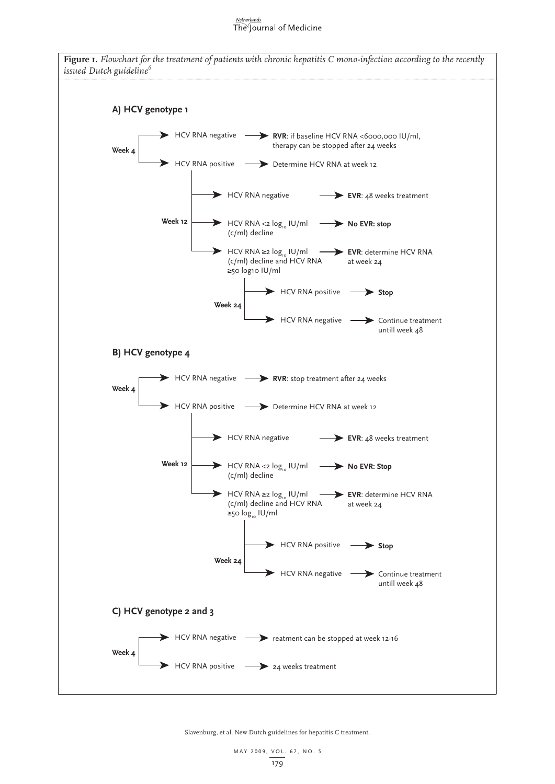#### Netherlands The Journal of Medicine



Slavenburg, et al. New Dutch guidelines for hepatitis C treatment.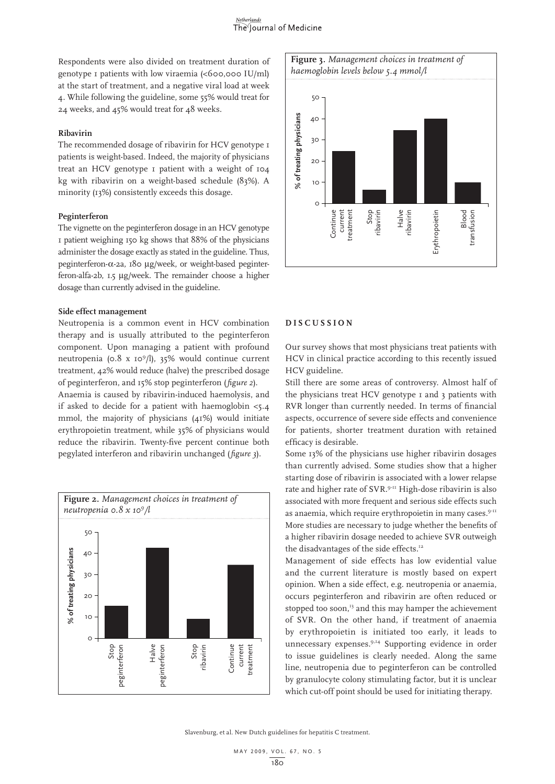Respondents were also divided on treatment duration of genotype 1 patients with low viraemia (<600,000 IU/ml) at the start of treatment, and a negative viral load at week 4. While following the guideline, some 55% would treat for 24 weeks, and 45% would treat for 48 weeks.

#### **Ribavirin**

The recommended dosage of ribavirin for HCV genotype I patients is weight-based. Indeed, the majority of physicians treat an HCV genotype 1 patient with a weight of 104 kg with ribavirin on a weight-based schedule (83%). A minority (13%) consistently exceeds this dosage.

#### **Peginterferon**

The vignette on the peginterferon dosage in an HCV genotype 1 patient weighing 150 kg shows that 88% of the physicians administer the dosage exactly as stated in the guideline. Thus, peginterferon-α-2a, 180 µg/week, or weight-based peginterferon-alfa-2b, 1.5 µg/week. The remainder choose a higher dosage than currently advised in the guideline.

## **Side effect management**

Neutropenia is a common event in HCV combination therapy and is usually attributed to the peginterferon component. Upon managing a patient with profound neutropenia (0.8 x 109 /l), 35% would continue current treatment, 42% would reduce (halve) the prescribed dosage of peginterferon, and 15% stop peginterferon (*figure 2*). Anaemia is caused by ribavirin-induced haemolysis, and if asked to decide for a patient with haemoglobin <5.4

mmol, the majority of physicians (41%) would initiate erythropoietin treatment, while 35% of physicians would reduce the ribavirin. Twenty-five percent continue both pegylated interferon and ribavirin unchanged (*figure 3*).





# **D i s cu s s i o n**

Our survey shows that most physicians treat patients with HCV in clinical practice according to this recently issued HCV guideline.

Still there are some areas of controversy. Almost half of the physicians treat HCV genotype 1 and 3 patients with RVR longer than currently needed. In terms of financial aspects, occurrence of severe side effects and convenience for patients, shorter treatment duration with retained efficacy is desirable.

Some 13% of the physicians use higher ribavirin dosages than currently advised. Some studies show that a higher starting dose of ribavirin is associated with a lower relapse rate and higher rate of SVR.9-11 High-dose ribavirin is also associated with more frequent and serious side effects such as anaemia, which require erythropoietin in many cases.<sup>9-11</sup> More studies are necessary to judge whether the benefits of a higher ribavirin dosage needed to achieve SVR outweigh the disadvantages of the side effects.<sup>12</sup>

Management of side effects has low evidential value and the current literature is mostly based on expert opinion. When a side effect, e.g. neutropenia or anaemia, occurs peginterferon and ribavirin are often reduced or stopped too soon,<sup>13</sup> and this may hamper the achievement of SVR. On the other hand, if treatment of anaemia by erythropoietin is initiated too early, it leads to unnecessary expenses.9,14 Supporting evidence in order to issue guidelines is clearly needed. Along the same line, neutropenia due to peginterferon can be controlled by granulocyte colony stimulating factor, but it is unclear which cut-off point should be used for initiating therapy.

Slavenburg, et al. New Dutch guidelines for hepatitis C treatment.